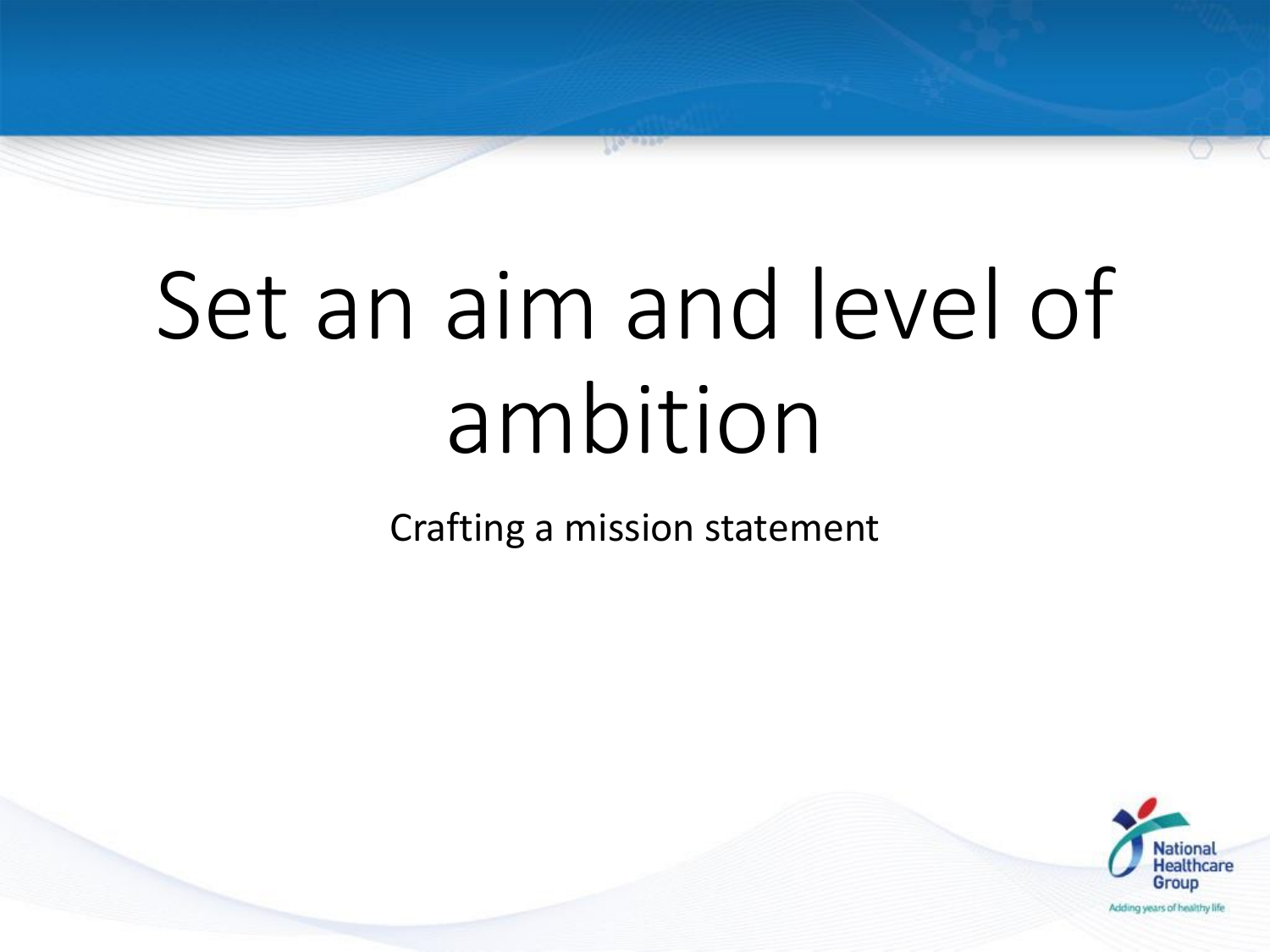# Set an aim and level of ambition

Crafting a mission statement

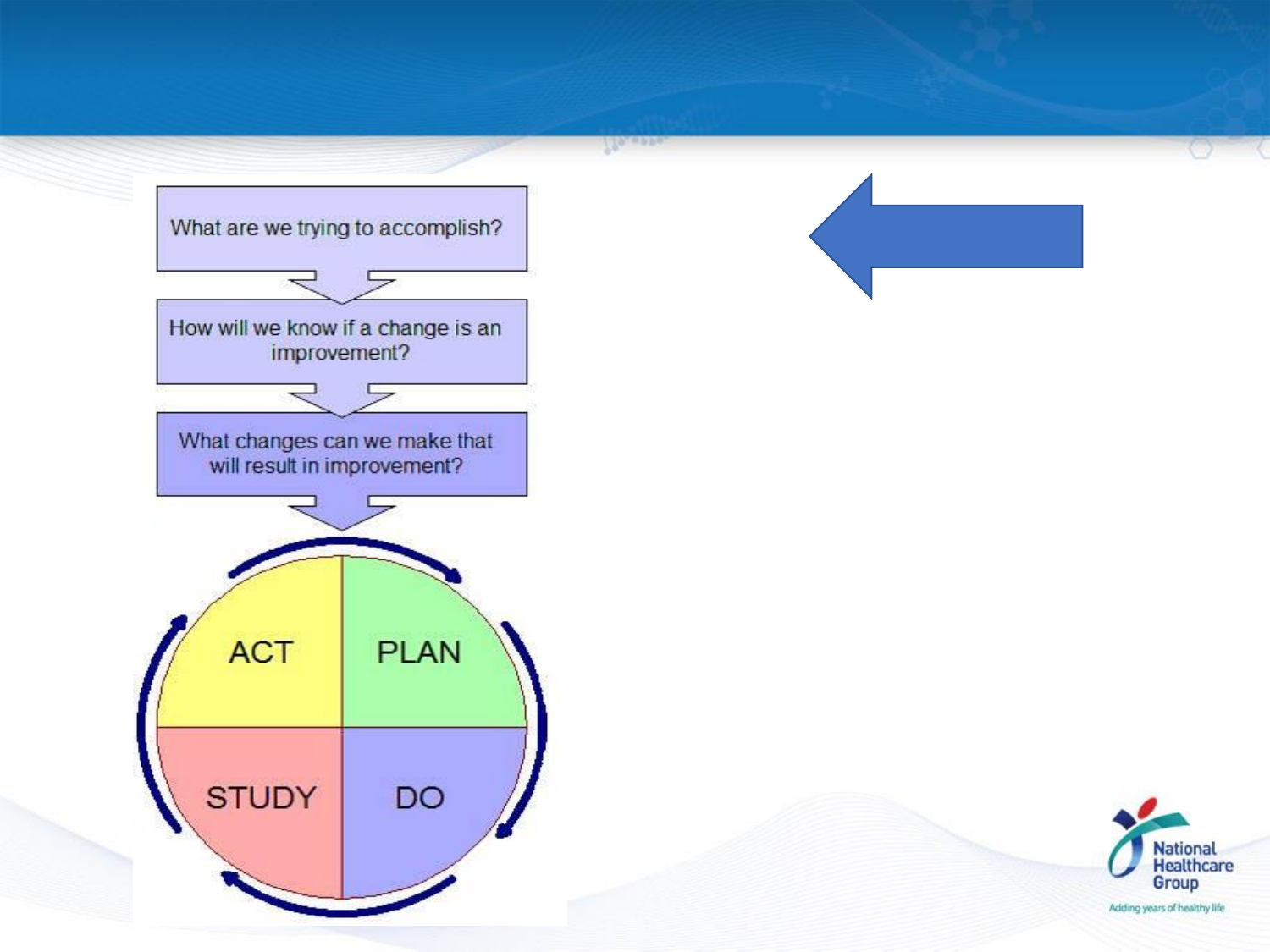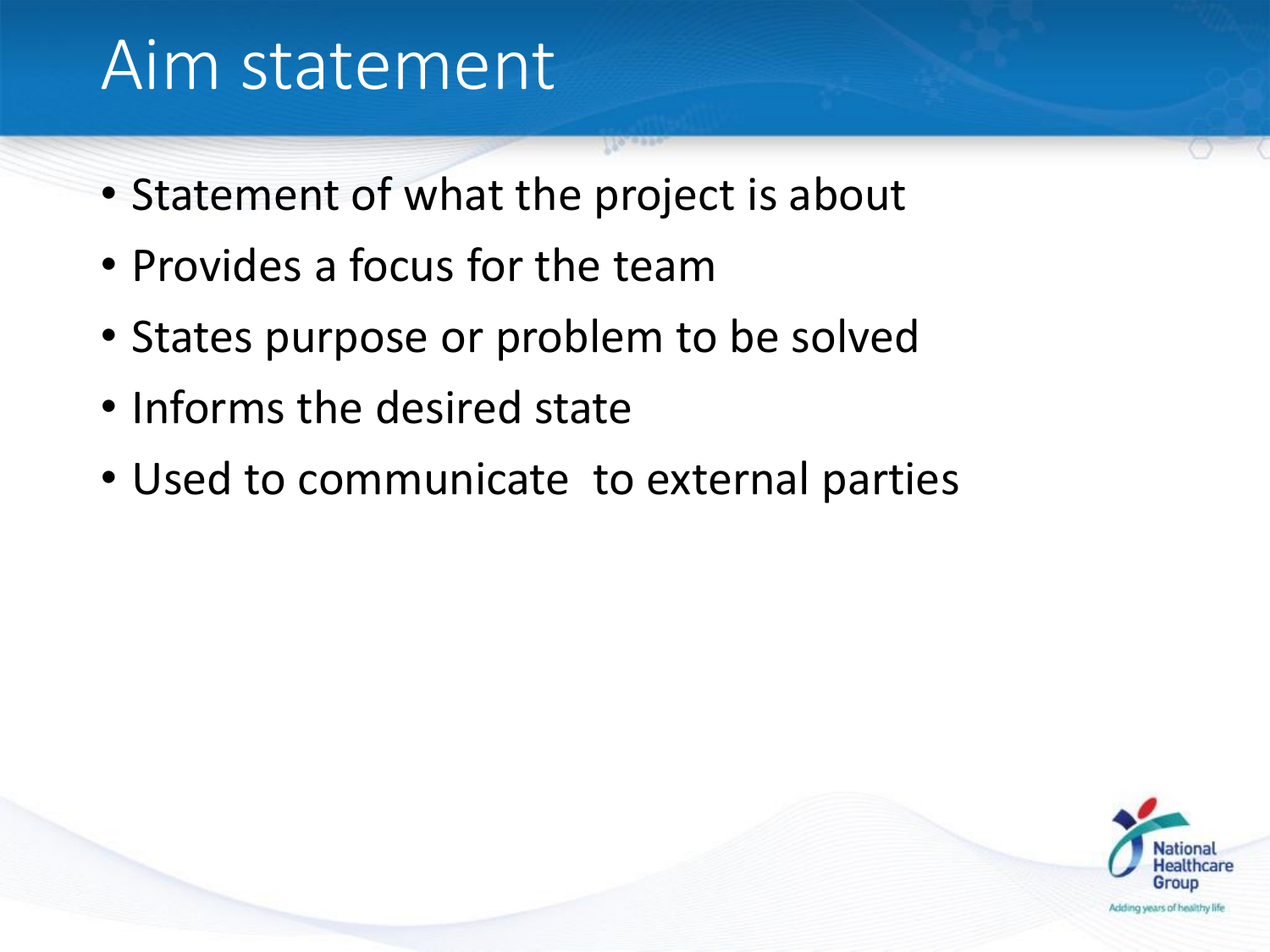#### Aim statement

- Statement of what the project is about
- Provides a focus for the team
- States purpose or problem to be solved
- Informs the desired state
- Used to communicate to external parties

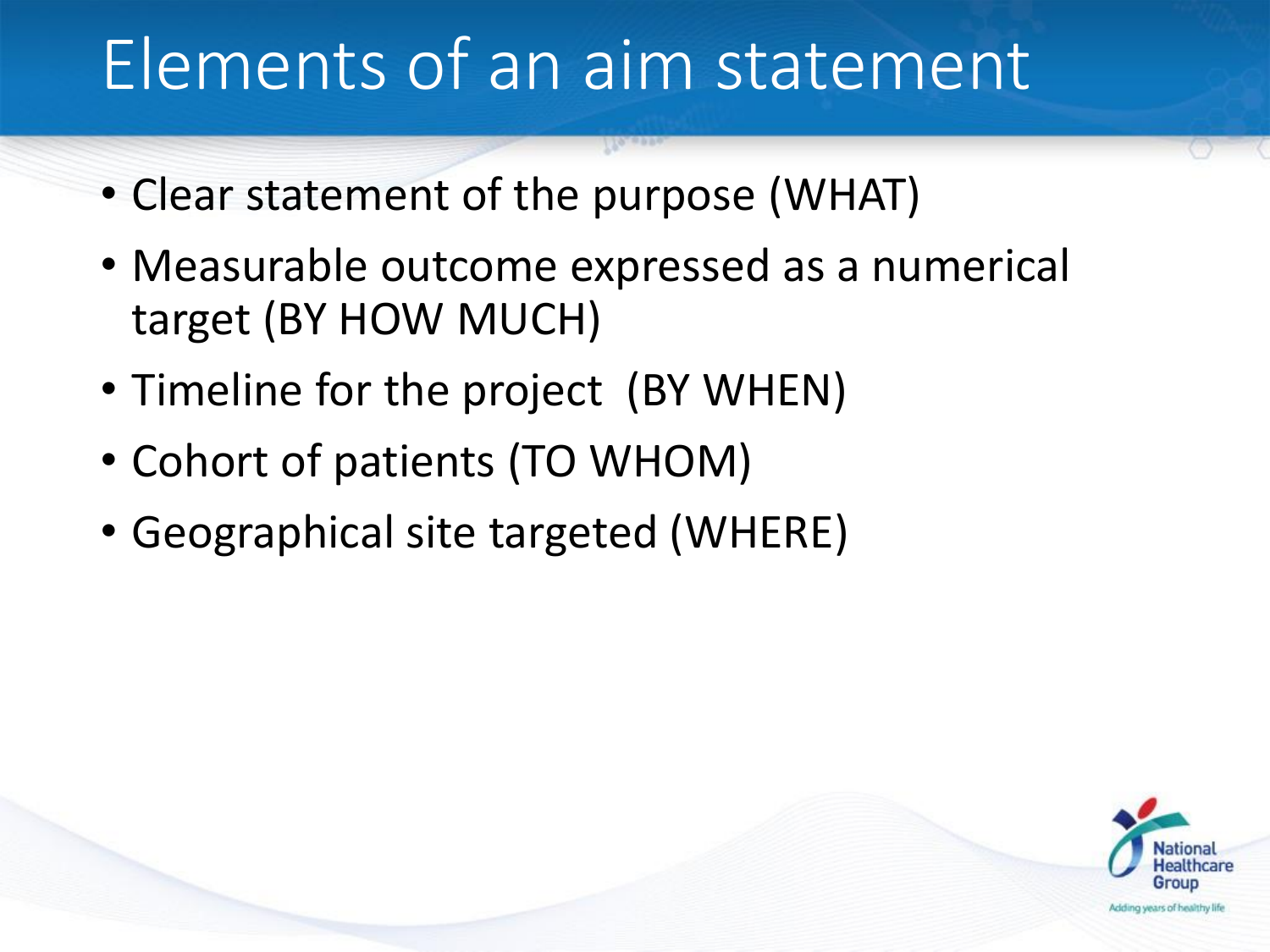#### Elements of an aim statement

- Clear statement of the purpose (WHAT)
- Measurable outcome expressed as a numerical target (BY HOW MUCH)
- Timeline for the project (BY WHEN)
- Cohort of patients (TO WHOM)
- Geographical site targeted (WHERE)

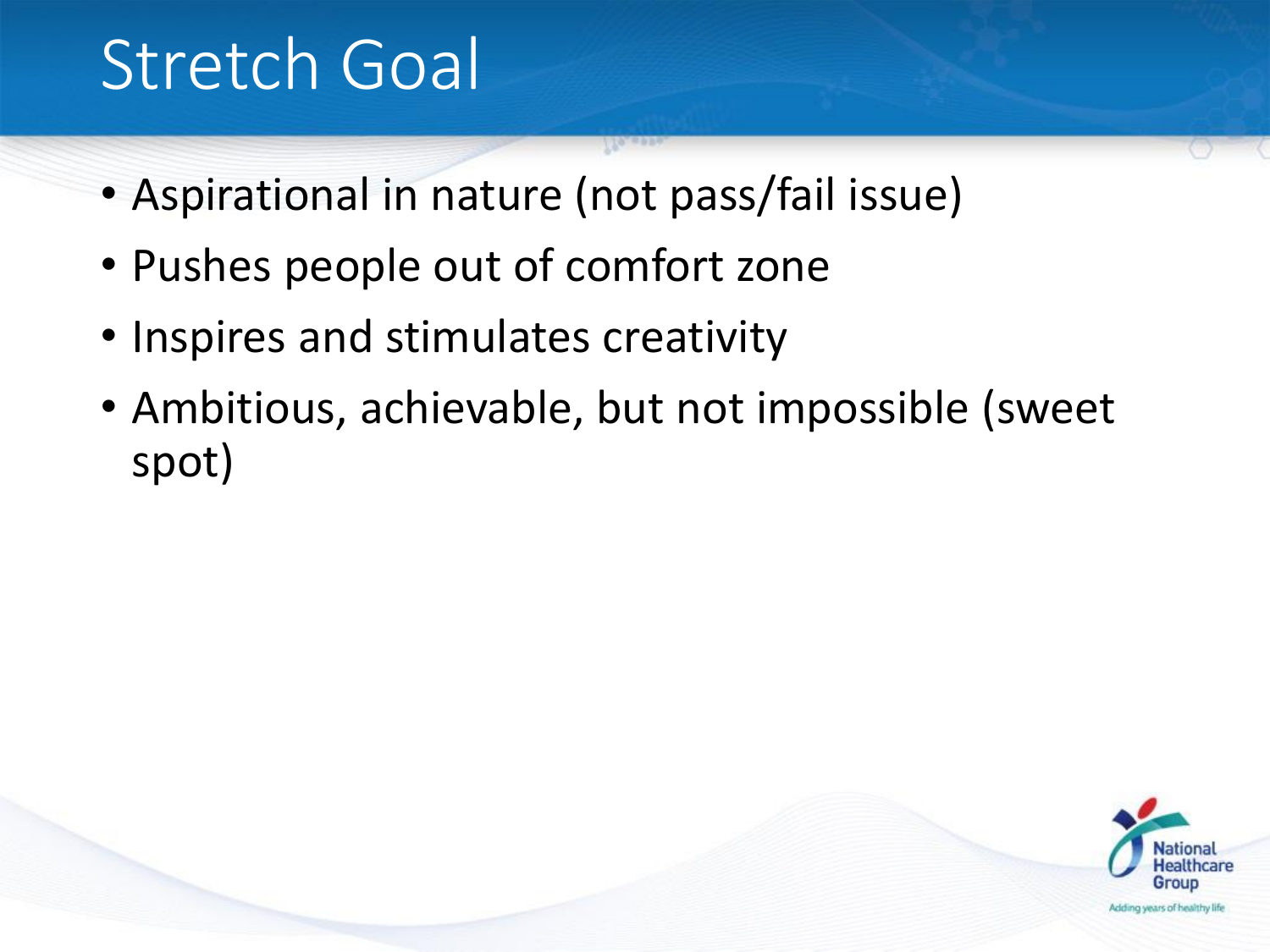### Stretch Goal

- Aspirational in nature (not pass/fail issue)
- Pushes people out of comfort zone
- Inspires and stimulates creativity
- Ambitious, achievable, but not impossible (sweet spot)

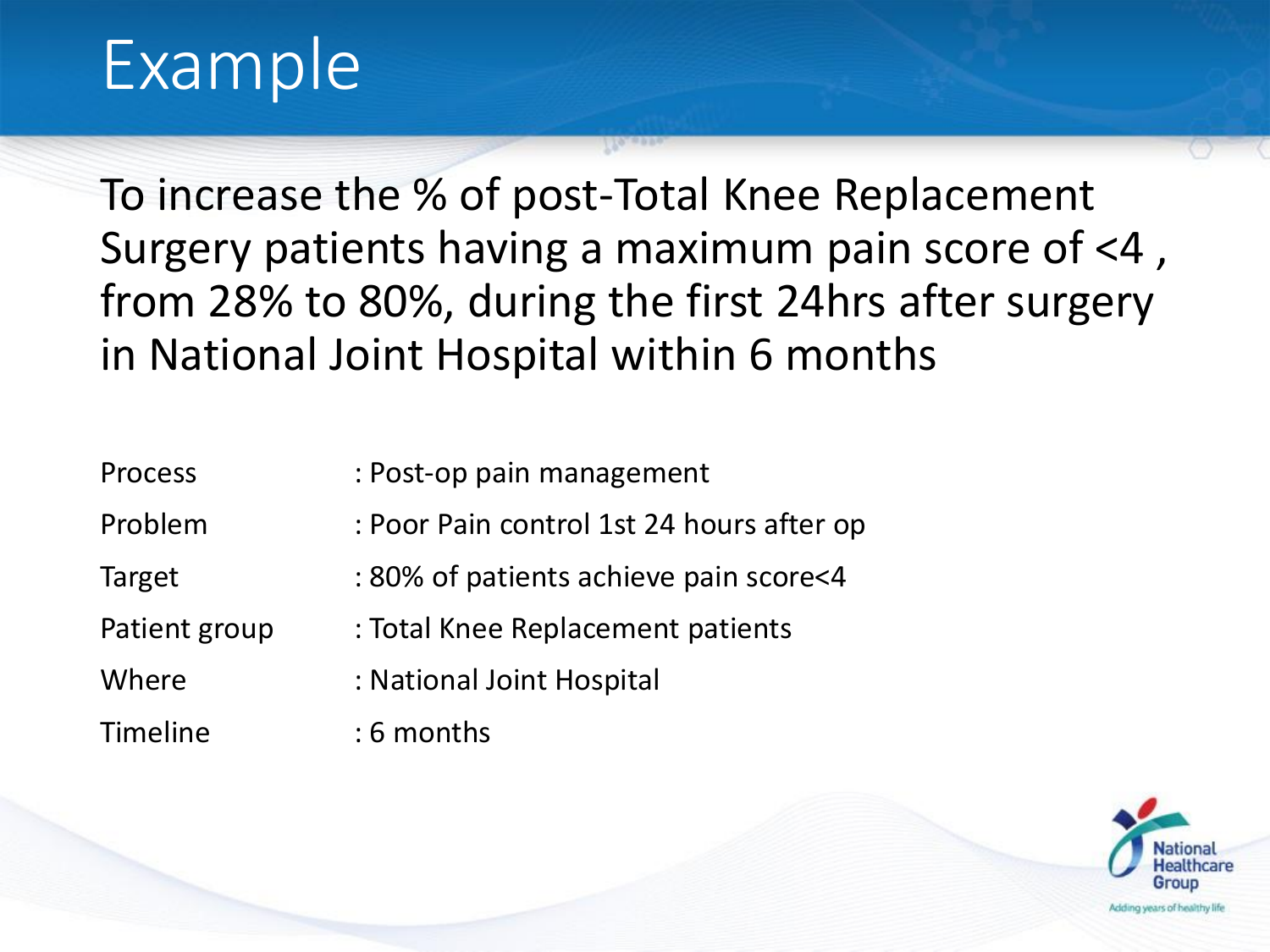#### Example

To increase the % of post-Total Knee Replacement Surgery patients having a maximum pain score of <4 , from 28% to 80%, during the first 24hrs after surgery in National Joint Hospital within 6 months

| <b>Process</b>  | : Post-op pain management                 |
|-----------------|-------------------------------------------|
| Problem         | : Poor Pain control 1st 24 hours after op |
| Target          | : 80% of patients achieve pain score<4    |
| Patient group   | : Total Knee Replacement patients         |
| Where           | : National Joint Hospital                 |
| <b>Timeline</b> | $: 6$ months                              |

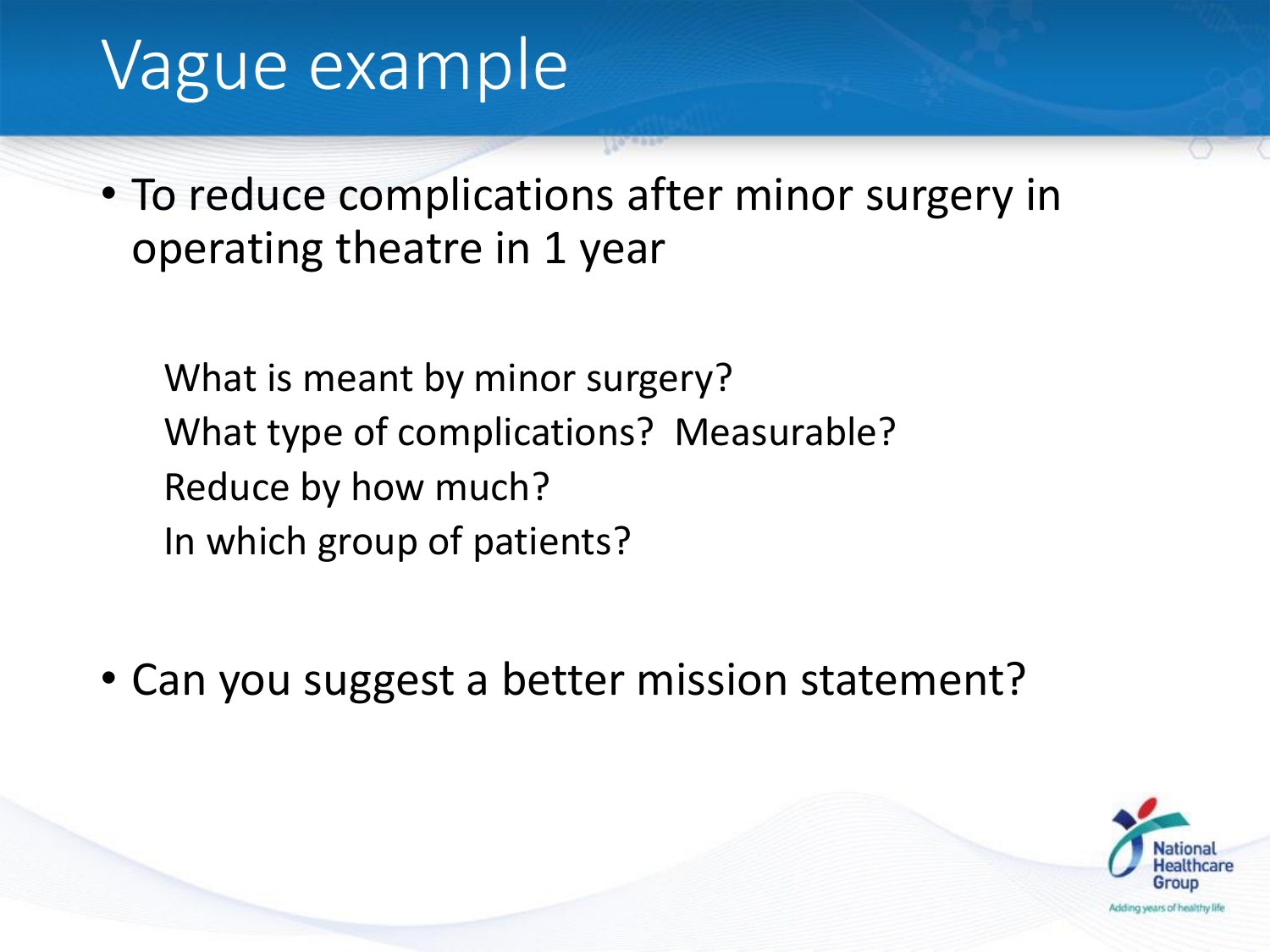#### Vague example

• To reduce complications after minor surgery in operating theatre in 1 year

What is meant by minor surgery? What type of complications? Measurable? Reduce by how much? In which group of patients?

• Can you suggest a better mission statement?

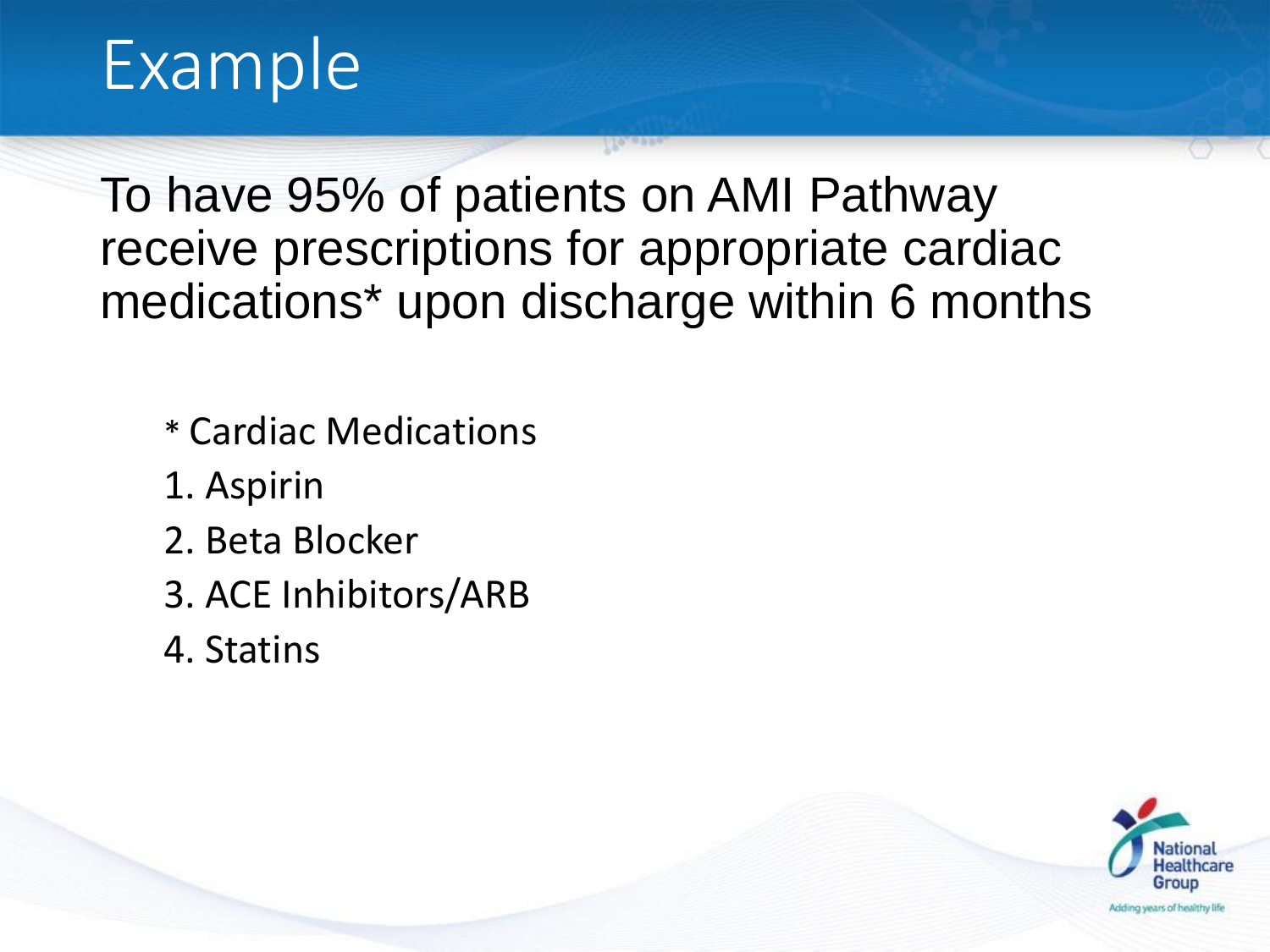#### Example

To have 95% of patients on AMI Pathway receive prescriptions for appropriate cardiac medications\* upon discharge within 6 months

- \* Cardiac Medications
- 1. Aspirin
- 2. Beta Blocker
- 3. ACE Inhibitors/ARB
- 4. Statins